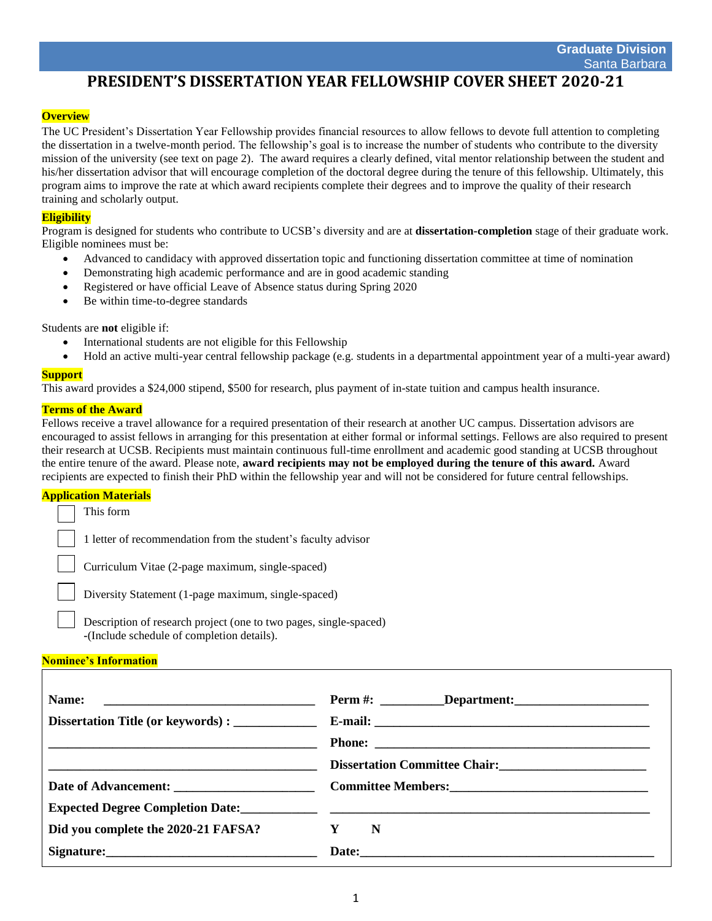# **PRESIDENT'S DISSERTATION YEAR FELLOWSHIP COVER SHEET 2020-21**

## **Overview**

The UC President's Dissertation Year Fellowship provides financial resources to allow fellows to devote full attention to completing the dissertation in a twelve-month period. The fellowship's goal is to increase the number of students who contribute to the diversity mission of the university (see text on page 2). The award requires a clearly defined, vital mentor relationship between the student and his/her dissertation advisor that will encourage completion of the doctoral degree during the tenure of this fellowship. Ultimately, this program aims to improve the rate at which award recipients complete their degrees and to improve the quality of their research training and scholarly output.

## **Eligibility**

Program is designed for students who contribute to UCSB's diversity and are at **dissertation-completion** stage of their graduate work. Eligible nominees must be:

- Advanced to candidacy with approved dissertation topic and functioning dissertation committee at time of nomination
- Demonstrating high academic performance and are in good academic standing
- Registered or have official Leave of Absence status during Spring 2020
- Be within time-to-degree standards

Students are **not** eligible if:

- International students are not eligible for this Fellowship
- Hold an active multi-year central fellowship package (e.g. students in a departmental appointment year of a multi-year award)

#### **Support**

This award provides a \$24,000 stipend, \$500 for research, plus payment of in-state tuition and campus health insurance.

#### **Terms of the Award**

Fellows receive a travel allowance for a required presentation of their research at another UC campus. Dissertation advisors are encouraged to assist fellows in arranging for this presentation at either formal or informal settings. Fellows are also required to present their research at UCSB. Recipients must maintain continuous full-time enrollment and academic good standing at UCSB throughout the entire tenure of the award. Please note, **award recipients may not be employed during the tenure of this award.** Award recipients are expected to finish their PhD within the fellowship year and will not be considered for future central fellowships.

#### **Application Materials**

This form • 1 letter of recommendation from the student's faculty advisor • Curriculum Vitae (2-page maximum, single-spaced)

• Diversity Statement (1-page maximum, single-spaced)

• Description of research project (one to two pages, single-spaced) **-**(Include schedule of completion details).

#### **Nominee's Information**

| Name:                                                                                                                 |                                                                 |
|-----------------------------------------------------------------------------------------------------------------------|-----------------------------------------------------------------|
|                                                                                                                       |                                                                 |
| <u> 1999 - Johann Harry Harry Harry Harry Harry Harry Harry Harry Harry Harry Harry Harry Harry Harry Harry Harry</u> |                                                                 |
|                                                                                                                       | Dissertation Committee Chair:<br><u>Letter Committee Chair:</u> |
|                                                                                                                       |                                                                 |
|                                                                                                                       |                                                                 |
| Did you complete the 2020-21 FAFSA?                                                                                   | $Y \tN$                                                         |
| Signature: Signature:                                                                                                 |                                                                 |